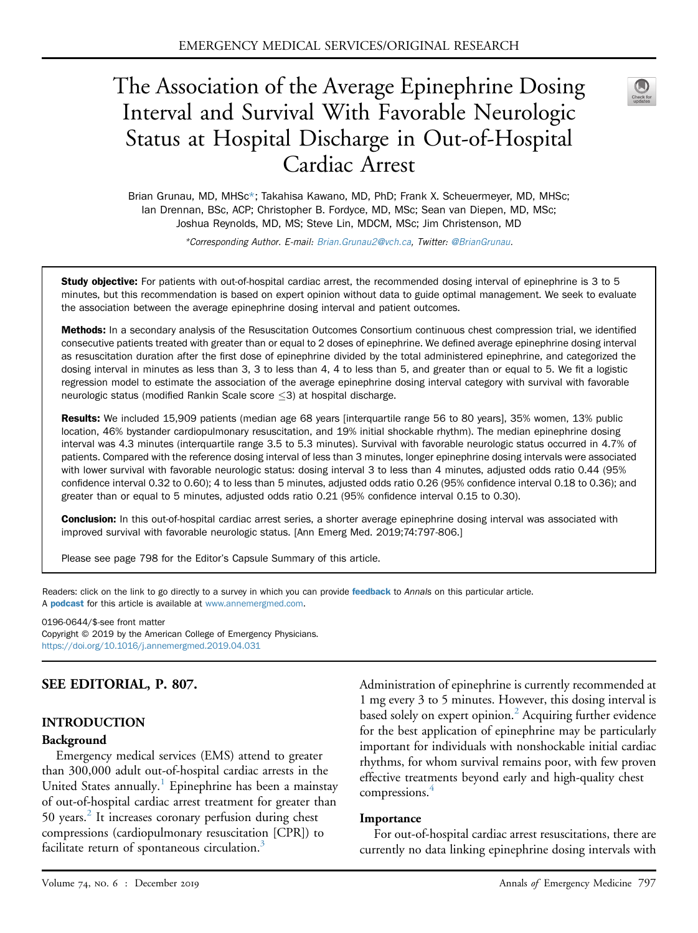# The Association of the Average Epinephrine Dosing Interval and Survival With Favorable Neurologic Status at Hospital Discharge in Out-of-Hospital Cardiac Arrest



Brian Grunau, MD, MHSc\*; Takahisa Kawano, MD, PhD; Frank X. Scheuermeyer, MD, MHSc; Ian Drennan, BSc, ACP; Christopher B. Fordyce, MD, MSc; Sean van Diepen, MD, MSc; Joshua Reynolds, MD, MS; Steve Lin, MDCM, MSc; Jim Christenson, MD

\*Corresponding Author. E-mail: [Brian.Grunau2@vch.ca](mailto:Brian.Grunau2@vch.ca), Twitter: [@BrianGrunau.](https://twitter.com/BrianGrunau)

Study objective: For patients with out-of-hospital cardiac arrest, the recommended dosing interval of epinephrine is 3 to 5 minutes, but this recommendation is based on expert opinion without data to guide optimal management. We seek to evaluate the association between the average epinephrine dosing interval and patient outcomes.

Methods: In a secondary analysis of the Resuscitation Outcomes Consortium continuous chest compression trial, we identified consecutive patients treated with greater than or equal to 2 doses of epinephrine. We defined average epinephrine dosing interval as resuscitation duration after the first dose of epinephrine divided by the total administered epinephrine, and categorized the dosing interval in minutes as less than 3, 3 to less than 4, 4 to less than 5, and greater than or equal to 5. We fit a logistic regression model to estimate the association of the average epinephrine dosing interval category with survival with favorable neurologic status (modified Rankin Scale score  $\leq$ 3) at hospital discharge.

Results: We included 15,909 patients (median age 68 years [interquartile range 56 to 80 years], 35% women, 13% public location, 46% bystander cardiopulmonary resuscitation, and 19% initial shockable rhythm). The median epinephrine dosing interval was 4.3 minutes (interquartile range 3.5 to 5.3 minutes). Survival with favorable neurologic status occurred in 4.7% of patients. Compared with the reference dosing interval of less than 3 minutes, longer epinephrine dosing intervals were associated with lower survival with favorable neurologic status: dosing interval 3 to less than 4 minutes, adjusted odds ratio 0.44 (95%) confidence interval 0.32 to 0.60); 4 to less than 5 minutes, adjusted odds ratio 0.26 (95% confidence interval 0.18 to 0.36); and greater than or equal to 5 minutes, adjusted odds ratio 0.21 (95% confidence interval 0.15 to 0.30).

**Conclusion:** In this out-of-hospital cardiac arrest series, a shorter average epinephrine dosing interval was associated with improved survival with favorable neurologic status. [Ann Emerg Med. 2019;74:797-806.]

Please see page 798 for the Editor's Capsule Summary of this article.

Readers: click on the link to go directly to a survey in which you can provide [feedback](https://www.surveymonkey.com/r/2MTNQ9D) to Annals on this particular article. A **[podcast](http://annemergmed.com/content/podcast)** for this article is available at [www.annemergmed.com](http://www.annemergmed.com).

0196-0644/\$-see front matter

Copyright © 2019 by the American College of Emergency Physicians. <https://doi.org/10.1016/j.annemergmed.2019.04.031>

# SEE EDITORIAL, P. 807.

#### INTRODUCTION

#### Background

Emergency medical services (EMS) attend to greater than 300,000 adult out-of-hospital cardiac arrests in the United States annually.<sup>1</sup> Epinephrine has been a mainstay of out-of-hospital cardiac arrest treatment for greater than 50 years. $2$  It increases coronary perfusion during chest compressions (cardiopulmonary resuscitation [CPR]) to facilitate return of spontaneous circulation.<sup>3</sup>

Administration of epinephrine is currently recommended at 1 mg every 3 to 5 minutes. However, this dosing interval is based solely on expert opinion.<sup>[2](#page-8-1)</sup> Acquiring further evidence for the best application of epinephrine may be particularly important for individuals with nonshockable initial cardiac rhythms, for whom survival remains poor, with few proven effective treatments beyond early and high-quality chest compressions.<sup>[4](#page-8-3)</sup>

#### **Importance**

For out-of-hospital cardiac arrest resuscitations, there are currently no data linking epinephrine dosing intervals with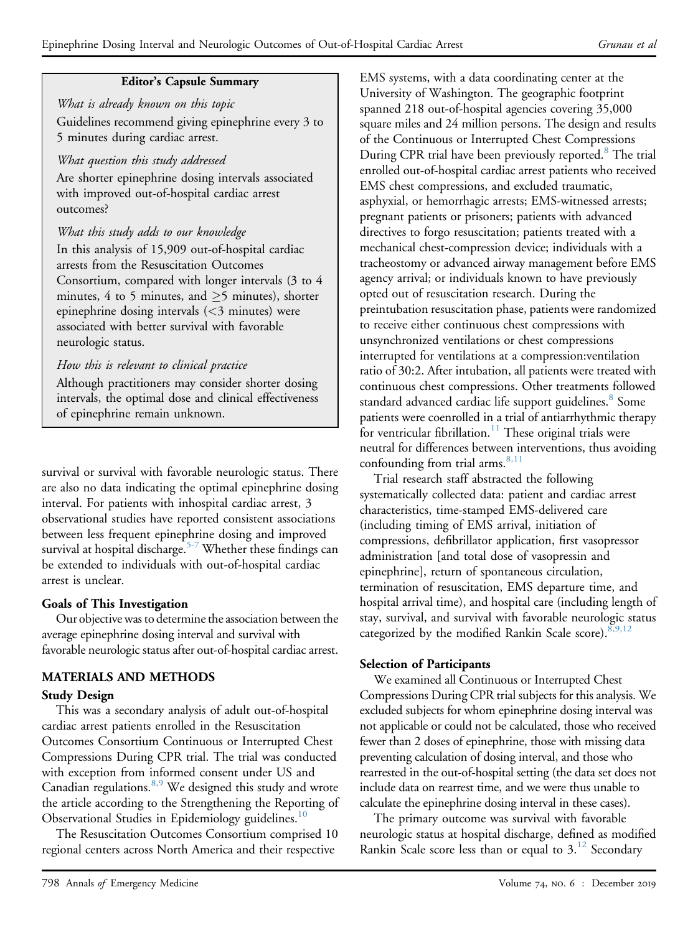### Editor's Capsule Summary

What is already known on this topic Guidelines recommend giving epinephrine every 3 to 5 minutes during cardiac arrest.

# What question this study addressed

Are shorter epinephrine dosing intervals associated with improved out-of-hospital cardiac arrest outcomes?

# What this study adds to our knowledge

In this analysis of 15,909 out-of-hospital cardiac arrests from the Resuscitation Outcomes Consortium, compared with longer intervals (3 to 4 minutes, 4 to 5 minutes, and  $\geq$ 5 minutes), shorter epinephrine dosing intervals (<3 minutes) were associated with better survival with favorable neurologic status.

# How this is relevant to clinical practice

Although practitioners may consider shorter dosing intervals, the optimal dose and clinical effectiveness of epinephrine remain unknown.

survival or survival with favorable neurologic status. There are also no data indicating the optimal epinephrine dosing interval. For patients with inhospital cardiac arrest, 3 observational studies have reported consistent associations between less frequent epinephrine dosing and improved survival at hospital discharge.<sup>[5-7](#page-8-4)</sup> Whether these findings can be extended to individuals with out-of-hospital cardiac arrest is unclear.

# Goals of This Investigation

Our objective was to determine the association between the average epinephrine dosing interval and survival with favorable neurologic status after out-of-hospital cardiac arrest.

# MATERIALS AND METHODS

#### Study Design

This was a secondary analysis of adult out-of-hospital cardiac arrest patients enrolled in the Resuscitation Outcomes Consortium Continuous or Interrupted Chest Compressions During CPR trial. The trial was conducted with exception from informed consent under US and Canadian regulations.<sup>[8,9](#page-8-5)</sup> We designed this study and wrote the article according to the Strengthening the Reporting of Observational Studies in Epidemiology guidelines.<sup>[10](#page-8-6)</sup>

The Resuscitation Outcomes Consortium comprised 10 regional centers across North America and their respective

EMS systems, with a data coordinating center at the University of Washington. The geographic footprint spanned 218 out-of-hospital agencies covering 35,000 square miles and 24 million persons. The design and results of the Continuous or Interrupted Chest Compressions During CPR trial have been previously reported.<sup>[8](#page-8-5)</sup> The trial enrolled out-of-hospital cardiac arrest patients who received EMS chest compressions, and excluded traumatic, asphyxial, or hemorrhagic arrests; EMS-witnessed arrests; pregnant patients or prisoners; patients with advanced directives to forgo resuscitation; patients treated with a mechanical chest-compression device; individuals with a tracheostomy or advanced airway management before EMS agency arrival; or individuals known to have previously opted out of resuscitation research. During the preintubation resuscitation phase, patients were randomized to receive either continuous chest compressions with unsynchronized ventilations or chest compressions interrupted for ventilations at a compression:ventilation ratio of 30:2. After intubation, all patients were treated with continuous chest compressions. Other treatments followed standard advanced cardiac life support guidelines.<sup>8</sup> Some patients were coenrolled in a trial of antiarrhythmic therapy for ventricular fibrillation.<sup>11</sup> These original trials were neutral for differences between interventions, thus avoiding confounding from trial arms. $8,11$ 

Trial research staff abstracted the following systematically collected data: patient and cardiac arrest characteristics, time-stamped EMS-delivered care (including timing of EMS arrival, initiation of compressions, defibrillator application, first vasopressor administration [and total dose of vasopressin and epinephrine], return of spontaneous circulation, termination of resuscitation, EMS departure time, and hospital arrival time), and hospital care (including length of stay, survival, and survival with favorable neurologic status categorized by the modified Rankin Scale score).  $8,9,12$ 

# Selection of Participants

We examined all Continuous or Interrupted Chest Compressions During CPR trial subjects for this analysis. We excluded subjects for whom epinephrine dosing interval was not applicable or could not be calculated, those who received fewer than 2 doses of epinephrine, those with missing data preventing calculation of dosing interval, and those who rearrested in the out-of-hospital setting (the data set does not include data on rearrest time, and we were thus unable to calculate the epinephrine dosing interval in these cases).

The primary outcome was survival with favorable neurologic status at hospital discharge, defined as modified Rankin Scale score less than or equal to  $3<sup>12</sup>$  $3<sup>12</sup>$  $3<sup>12</sup>$  Secondary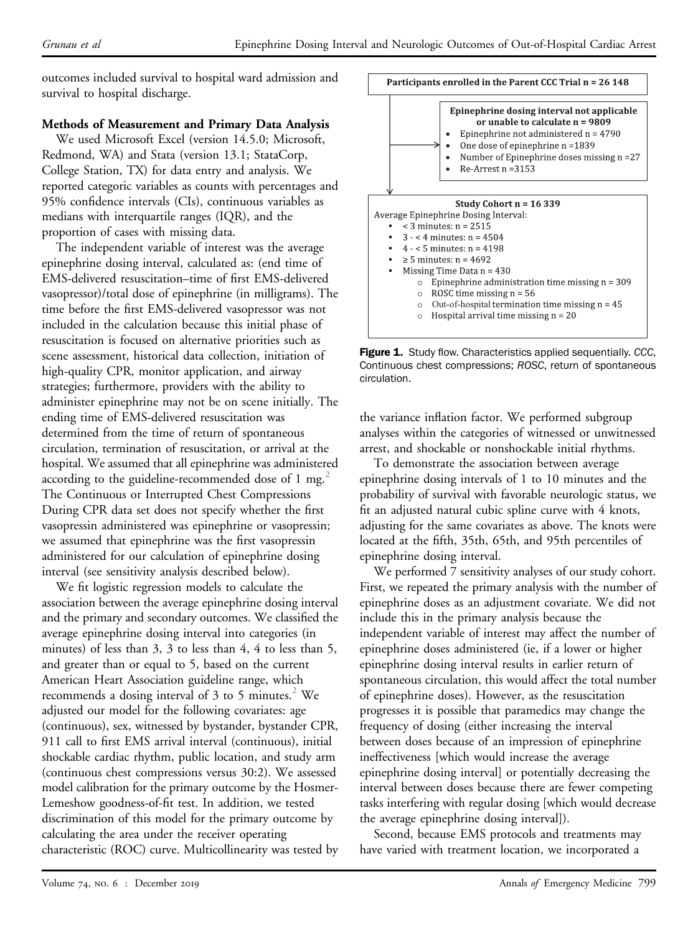outcomes included survival to hospital ward admission and survival to hospital discharge.

# Methods of Measurement and Primary Data Analysis

We used Microsoft Excel (version 14.5.0; Microsoft, Redmond, WA) and Stata (version 13.1; StataCorp, College Station, TX) for data entry and analysis. We reported categoric variables as counts with percentages and 95% confidence intervals (CIs), continuous variables as medians with interquartile ranges (IQR), and the proportion of cases with missing data.

The independent variable of interest was the average epinephrine dosing interval, calculated as: (end time of EMS-delivered resuscitation–time of first EMS-delivered vasopressor)/total dose of epinephrine (in milligrams). The time before the first EMS-delivered vasopressor was not included in the calculation because this initial phase of resuscitation is focused on alternative priorities such as scene assessment, historical data collection, initiation of high-quality CPR, monitor application, and airway strategies; furthermore, providers with the ability to administer epinephrine may not be on scene initially. The ending time of EMS-delivered resuscitation was determined from the time of return of spontaneous circulation, termination of resuscitation, or arrival at the hospital. We assumed that all epinephrine was administered according to the guideline-recommended dose of 1 mg.<sup>[2](#page-8-1)</sup> The Continuous or Interrupted Chest Compressions During CPR data set does not specify whether the first vasopressin administered was epinephrine or vasopressin; we assumed that epinephrine was the first vasopressin administered for our calculation of epinephrine dosing interval (see sensitivity analysis described below).

We fit logistic regression models to calculate the association between the average epinephrine dosing interval and the primary and secondary outcomes. We classified the average epinephrine dosing interval into categories (in minutes) of less than 3, 3 to less than 4, 4 to less than 5, and greater than or equal to 5, based on the current American Heart Association guideline range, which recommends a dosing interval of 3 to 5 minutes. $2$  We adjusted our model for the following covariates: age (continuous), sex, witnessed by bystander, bystander CPR, 911 call to first EMS arrival interval (continuous), initial shockable cardiac rhythm, public location, and study arm (continuous chest compressions versus 30:2). We assessed model calibration for the primary outcome by the Hosmer-Lemeshow goodness-of-fit test. In addition, we tested discrimination of this model for the primary outcome by calculating the area under the receiver operating characteristic (ROC) curve. Multicollinearity was tested by

<span id="page-2-0"></span>Participants enrolled in the Parent CCC Trial n = 26 148 Epinephrine dosing interval not applicable or unable to calculate n = 9809 Epinephrine not administered  $n = 4790$ One dose of epinephrine n =1839 Number of Epinephrine doses missing n = 27  $\bullet$  $Re-Arrest$  n = 3153 Study Cohort n = 16 339 Average Epinephrine Dosing Interval:  $\sim$  3 minutes: n = 2515  $\blacksquare$  3 - < 4 minutes: n = 4504  $\blacksquare$  4 - < 5 minutes: n = 4198  $\ge$  5 minutes: n = 4692 Missing Time Data  $n = 430$  $\circ$  Epinephrine administration time missing n = 309

- ROSC time missing  $n = 56$ <br>○ Out-of-hospital termination time missing  $n = 45$  $\circ$
- $\circ$ Hospital arrival time missing  $n = 20$

Figure 1. Study flow. Characteristics applied sequentially. CCC, Continuous chest compressions; ROSC, return of spontaneous circulation.

the variance inflation factor. We performed subgroup analyses within the categories of witnessed or unwitnessed arrest, and shockable or nonshockable initial rhythms.

To demonstrate the association between average epinephrine dosing intervals of 1 to 10 minutes and the probability of survival with favorable neurologic status, we fit an adjusted natural cubic spline curve with 4 knots, adjusting for the same covariates as above. The knots were located at the fifth, 35th, 65th, and 95th percentiles of epinephrine dosing interval.

We performed 7 sensitivity analyses of our study cohort. First, we repeated the primary analysis with the number of epinephrine doses as an adjustment covariate. We did not include this in the primary analysis because the independent variable of interest may affect the number of epinephrine doses administered (ie, if a lower or higher epinephrine dosing interval results in earlier return of spontaneous circulation, this would affect the total number of epinephrine doses). However, as the resuscitation progresses it is possible that paramedics may change the frequency of dosing (either increasing the interval between doses because of an impression of epinephrine ineffectiveness [which would increase the average epinephrine dosing interval] or potentially decreasing the interval between doses because there are fewer competing tasks interfering with regular dosing [which would decrease the average epinephrine dosing interval]).

Second, because EMS protocols and treatments may have varied with treatment location, we incorporated a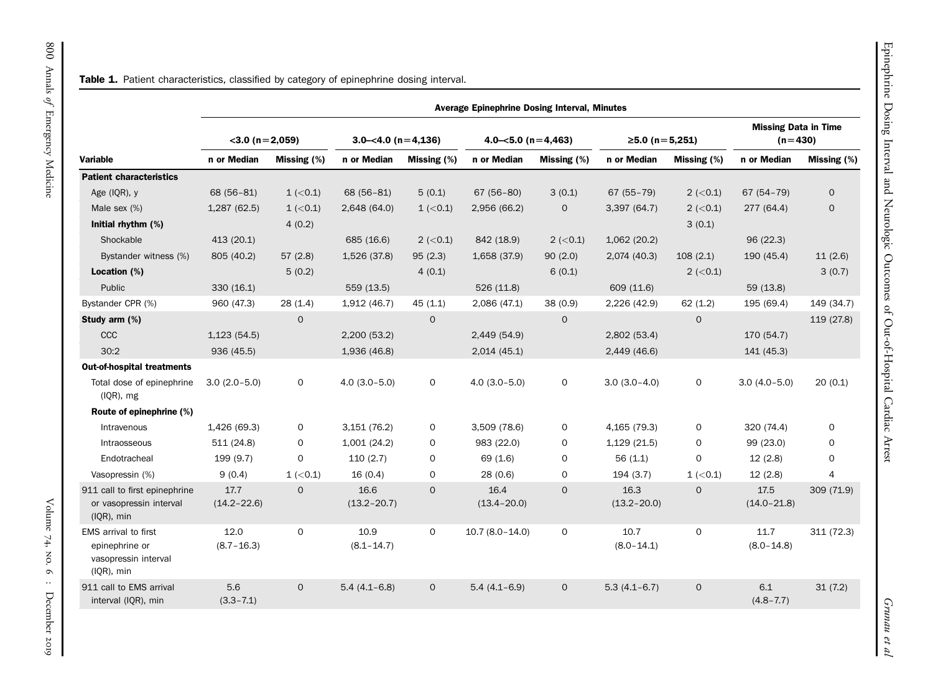| Patient characte     |
|----------------------|
|                      |
|                      |
|                      |
|                      |
| <b>aracteristics</b> |
| የ), y                |
| x(%)                 |
| 1ythm (%)            |

<span id="page-3-0"></span>

| <b>Variable</b>                                                              | $<$ 3.0 (n = 2,059)     |                | $3.0 - 4.0$ (n = 4,136) |                | $4.0 - 5.0$ (n = 4,463) |              | $≥5.0$ (n = 5,251)      |                | <b>Missing Data in Time</b><br>$(n=430)$ |                |
|------------------------------------------------------------------------------|-------------------------|----------------|-------------------------|----------------|-------------------------|--------------|-------------------------|----------------|------------------------------------------|----------------|
|                                                                              | n or Median             | Missing $(\%)$ | n or Median             | Missing (%)    | n or Median             | Missing (%)  | n or Median             | Missing (%)    | n or Median                              | Missing (%)    |
| <b>Patient characteristics</b>                                               |                         |                |                         |                |                         |              |                         |                |                                          |                |
| Age (IQR), y                                                                 | 68 (56-81)              | $1$ ( $<$ 0.1) | 68 (56-81)              | 5(0.1)         | $67(56-80)$             | 3(0.1)       | $67(55 - 79)$           | $2 (-0.1)$     | 67 (54-79)                               | $\mathbf{O}$   |
| Male sex $(\%)$                                                              | 1,287(62.5)             | $1$ ( $<$ 0.1) | 2,648 (64.0)            | $1$ ( $<$ 0.1) | 2,956 (66.2)            | $\mathbf 0$  | 3,397 (64.7)            | $2 (-0.1)$     | 277 (64.4)                               | $\mathbf{O}$   |
| Initial rhythm (%)                                                           |                         | 4(0.2)         |                         |                |                         |              |                         | 3(0.1)         |                                          |                |
| Shockable                                                                    | 413 (20.1)              |                | 685 (16.6)              | $2 (-0.1)$     | 842 (18.9)              | $2 (-0.1)$   | 1,062 (20.2)            |                | 96 (22.3)                                |                |
| Bystander witness (%)                                                        | 805 (40.2)              | 57(2.8)        | 1,526 (37.8)            | 95(2.3)        | 1,658 (37.9)            | 90(2.0)      | 2,074 (40.3)            | 108(2.1)       | 190 (45.4)                               | 11(2.6)        |
| Location (%)                                                                 |                         | 5(0.2)         |                         | 4(0.1)         |                         | 6(0.1)       |                         | $2 (-0.1)$     |                                          | 3(0.7)         |
| Public                                                                       | 330(16.1)               |                | 559 (13.5)              |                | 526(11.8)               |              | 609 (11.6)              |                | 59 (13.8)                                |                |
| Bystander CPR (%)                                                            | 960 (47.3)              | 28(1.4)        | 1,912 (46.7)            | 45(1.1)        | 2,086 (47.1)            | 38(0.9)      | 2,226 (42.9)            | 62(1.2)        | 195 (69.4)                               | 149 (34.7)     |
| Study arm (%)                                                                |                         | $\Omega$       |                         | $\Omega$       |                         | $\Omega$     |                         | $\Omega$       |                                          | 119 (27.8)     |
| CCC                                                                          | 1,123(54.5)             |                | 2,200(53.2)             |                | 2,449 (54.9)            |              | 2,802(53.4)             |                | 170 (54.7)                               |                |
| 30:2                                                                         | 936 (45.5)              |                | 1,936 (46.8)            |                | 2,014(45.1)             |              | 2,449 (46.6)            |                | 141 (45.3)                               |                |
| <b>Out-of-hospital treatments</b>                                            |                         |                |                         |                |                         |              |                         |                |                                          |                |
| Total dose of epinephrine<br>(IQR), mg                                       | $3.0(2.0-5.0)$          | $\mathbf{O}$   | $4.0(3.0 - 5.0)$        | $\Omega$       | $4.0(3.0 - 5.0)$        | $\mathbf 0$  | $3.0(3.0-4.0)$          | $\mathbf 0$    | $3.0(4.0 - 5.0)$                         | 20(0.1)        |
| Route of epinephrine (%)                                                     |                         |                |                         |                |                         |              |                         |                |                                          |                |
| Intravenous                                                                  | 1,426 (69.3)            | $\mathbf 0$    | 3,151 (76.2)            | 0              | 3,509 (78.6)            | 0            | 4,165 (79.3)            | $\mathbf 0$    | 320 (74.4)                               | $\mathbf 0$    |
| Intraosseous                                                                 | 511(24.8)               | $\Omega$       | 1,001 (24.2)            | $\mathbf 0$    | 983 (22.0)              | 0            | 1,129 (21.5)            | $\Omega$       | 99 (23.0)                                | $\mathbf 0$    |
| Endotracheal                                                                 | 199 (9.7)               | $\mathbf 0$    | 110(2.7)                | $\mathbf 0$    | 69 (1.6)                | $\mathbf 0$  | 56(1.1)                 | $\Omega$       | 12(2.8)                                  | $\mathbf 0$    |
| Vasopressin (%)                                                              | 9(0.4)                  | $1$ ( $<$ 0.1) | 16(0.4)                 | $\mathbf 0$    | 28(0.6)                 | 0            | 194(3.7)                | $1$ ( $<$ 0.1) | 12(2.8)                                  | $\overline{4}$ |
| 911 call to first epinephrine<br>or vasopressin interval<br>$(IQR)$ , min    | 17.7<br>$(14.2 - 22.6)$ | $\mathbf{O}$   | 16.6<br>$(13.2 - 20.7)$ | $\mathbf{O}$   | 16.4<br>$(13.4 - 20.0)$ | $\Omega$     | 16.3<br>$(13.2 - 20.0)$ | $\mathbf{O}$   | 17.5<br>$(14.0 - 21.8)$                  | 309 (71.9)     |
| EMS arrival to first<br>epinephrine or<br>vasopressin interval<br>(IQR), min | 12.0<br>$(8.7 - 16.3)$  | $\mathbf 0$    | 10.9<br>$(8.1 - 14.7)$  | $\mathbf 0$    | $10.7(8.0-14.0)$        | $\mathbf 0$  | 10.7<br>$(8.0 - 14.1)$  | $\mathbf 0$    | 11.7<br>$(8.0 - 14.8)$                   | 311 (72.3)     |
| 911 call to EMS arrival<br>interval (IQR), min                               | 5.6<br>$(3.3 - 7.1)$    | $\mathbf{O}$   | $5.4(4.1 - 6.8)$        | $\mathbf{0}$   | $5.4(4.1 - 6.9)$        | $\mathbf{0}$ | $5.3(4.1 - 6.7)$        | $\mathbf{O}$   | 6.1<br>$(4.8 - 7.7)$                     | 31(7.2)        |

Average Epinephrine Dosing Interval, Minutes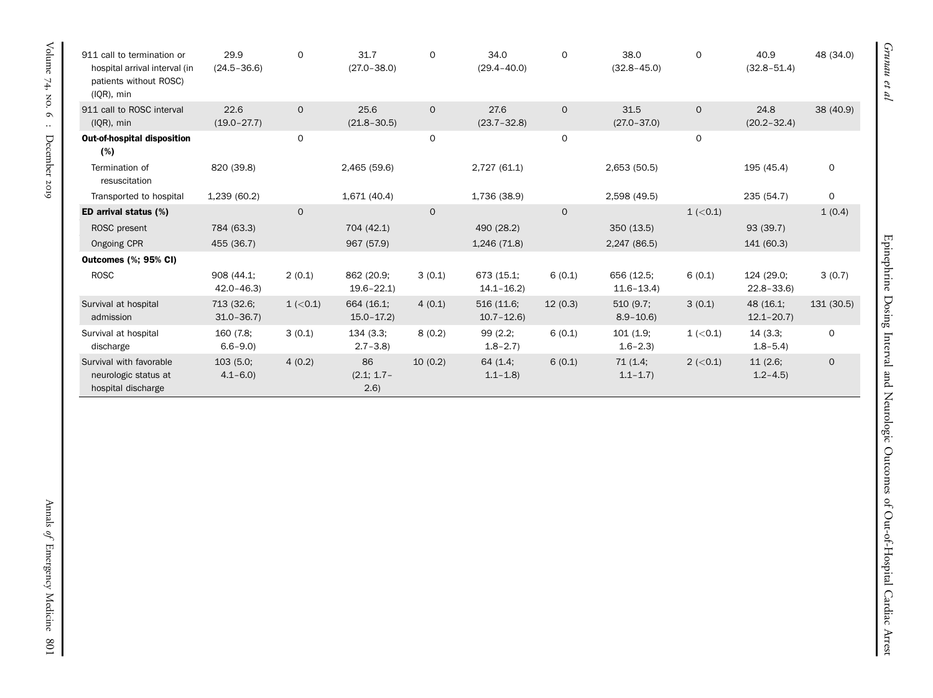| 911 call to termination or<br>hospital arrival interval (in<br>patients without ROSC)<br>$(IQR)$ , min | 29.9<br>$(24.5 - 36.6)$     | 0              | 31.7<br>$(27.0 - 38.0)$     | $\mathbf{O}$ | 34.0<br>$(29.4 - 40.0)$     | $\mathbf 0$  | 38.0<br>$(32.8 - 45.0)$     | $\mathbf 0$    | 40.9<br>$(32.8 - 51.4)$     | 48 (34.0)    |
|--------------------------------------------------------------------------------------------------------|-----------------------------|----------------|-----------------------------|--------------|-----------------------------|--------------|-----------------------------|----------------|-----------------------------|--------------|
| 911 call to ROSC interval<br>$IQR$ , min                                                               | 22.6<br>$(19.0 - 27.7)$     | $\overline{O}$ | 25.6<br>$(21.8 - 30.5)$     | $\mathbf{O}$ | 27.6<br>$(23.7 - 32.8)$     | $\mathbf{O}$ | 31.5<br>$(27.0 - 37.0)$     | $\Omega$       | 24.8<br>$(20.2 - 32.4)$     | 38 (40.9)    |
| <b>Out-of-hospital disposition</b><br>(%)                                                              |                             | 0              |                             | $\mathbf 0$  |                             | $\mathbf 0$  |                             | $\mathbf 0$    |                             |              |
| Termination of<br>resuscitation                                                                        | 820 (39.8)                  |                | 2,465 (59.6)                |              | 2,727 (61.1)                |              | 2,653 (50.5)                |                | 195 (45.4)                  | 0            |
| Transported to hospital                                                                                | 1,239 (60.2)                |                | 1,671 (40.4)                |              | 1,736 (38.9)                |              | 2,598 (49.5)                |                | 235 (54.7)                  | 0            |
| ED arrival status (%)                                                                                  |                             | $\Omega$       |                             | $\Omega$     |                             | $\mathbf{O}$ |                             | $1$ ( $<$ 0.1) |                             | 1(0.4)       |
| ROSC present                                                                                           | 784 (63.3)                  |                | 704 (42.1)                  |              | 490 (28.2)                  |              | 350 (13.5)                  |                | 93 (39.7)                   |              |
| Ongoing CPR                                                                                            | 455 (36.7)                  |                | 967 (57.9)                  |              | 1,246 (71.8)                |              | 2,247 (86.5)                |                | 141 (60.3)                  |              |
| <b>Outcomes (%; 95% CI)</b>                                                                            |                             |                |                             |              |                             |              |                             |                |                             |              |
| <b>ROSC</b>                                                                                            | 908 (44.1;<br>$42.0 - 46.3$ | 2(0.1)         | 862 (20.9;<br>$19.6 - 22.1$ | 3(0.1)       | 673 (15.1;<br>$14.1 - 16.2$ | 6(0.1)       | 656 (12.5;<br>$11.6 - 13.4$ | 6(0.1)         | 124 (29.0;<br>$22.8 - 33.6$ | 3(0.7)       |
| Survival at hospital<br>admission                                                                      | 713 (32.6;<br>$31.0 - 36.7$ | $1$ ( $<$ 0.1) | 664 (16.1;<br>$15.0 - 17.2$ | 4(0.1)       | 516 (11.6;<br>$10.7 - 12.6$ | 12(0.3)      | 510(9.7)<br>$8.9 - 10.6$    | 3(0.1)         | 48 (16.1;<br>$12.1 - 20.7$  | 131 (30.5)   |
| Survival at hospital<br>discharge                                                                      | 160 (7.8;<br>$6.6 - 9.0$    | 3(0.1)         | 134 (3.3;<br>$2.7 - 3.8$    | 8(0.2)       | 99(2.2;<br>$1.8 - 2.7$      | 6(0.1)       | 101(1.9;<br>$1.6 - 2.3$     | $1$ ( $<$ 0.1) | 14(3.3;<br>$1.8 - 5.4$      | $\mathbf 0$  |
| Survival with favorable<br>neurologic status at<br>hospital discharge                                  | 103(5.0;<br>$4.1 - 6.0$     | 4(0.2)         | 86<br>$(2.1; 1.7-$<br>(2.6) | 10(0.2)      | 64 (1.4;<br>$1.1 - 1.8$     | 6(0.1)       | 71(1.4;<br>$1.1 - 1.7$      | $2 (-0.1)$     | 11(2.6;<br>$1.2 - 4.5$      | $\mathsf{O}$ |

Grunau et al

Epinephrine Dosing Interval and Neurologic Outcomes of Out-of-Hospital Cardiac Arrest

Epinephrine Dosing Interval and Neurologic Outcomes of Out-of-Hospital Cardiac Arrest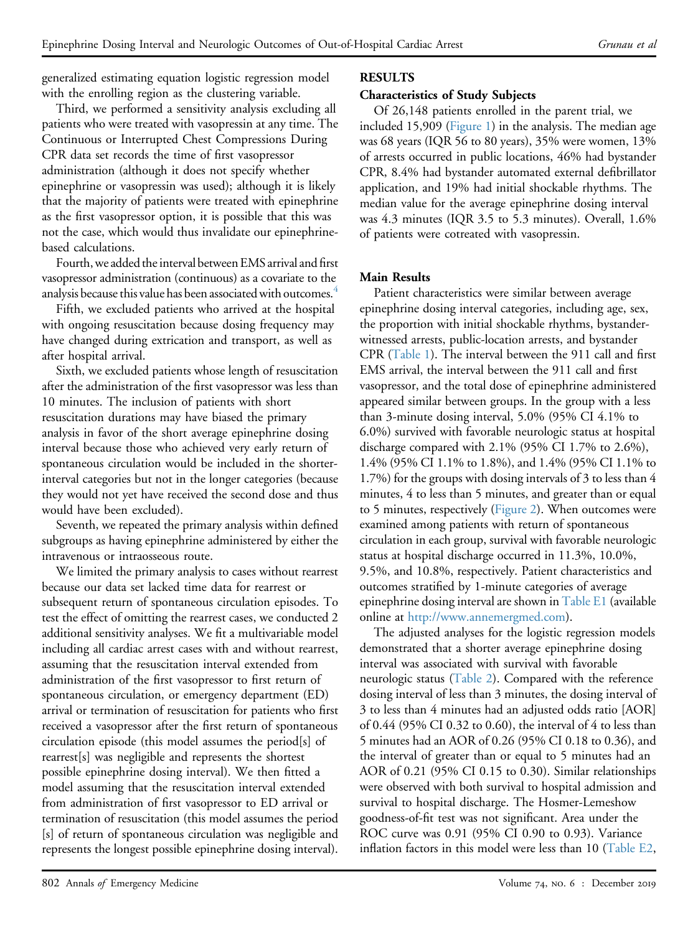generalized estimating equation logistic regression model with the enrolling region as the clustering variable.

Third, we performed a sensitivity analysis excluding all patients who were treated with vasopressin at any time. The Continuous or Interrupted Chest Compressions During CPR data set records the time of first vasopressor administration (although it does not specify whether epinephrine or vasopressin was used); although it is likely that the majority of patients were treated with epinephrine as the first vasopressor option, it is possible that this was not the case, which would thus invalidate our epinephrinebased calculations.

Fourth, we added the interval between EMS arrival and first vasopressor administration (continuous) as a covariate to the analysis because this value has been associated with outcomes.<sup>4</sup>

Fifth, we excluded patients who arrived at the hospital with ongoing resuscitation because dosing frequency may have changed during extrication and transport, as well as after hospital arrival.

Sixth, we excluded patients whose length of resuscitation after the administration of the first vasopressor was less than 10 minutes. The inclusion of patients with short resuscitation durations may have biased the primary analysis in favor of the short average epinephrine dosing interval because those who achieved very early return of spontaneous circulation would be included in the shorterinterval categories but not in the longer categories (because they would not yet have received the second dose and thus would have been excluded).

Seventh, we repeated the primary analysis within defined subgroups as having epinephrine administered by either the intravenous or intraosseous route.

We limited the primary analysis to cases without rearrest because our data set lacked time data for rearrest or subsequent return of spontaneous circulation episodes. To test the effect of omitting the rearrest cases, we conducted 2 additional sensitivity analyses. We fit a multivariable model including all cardiac arrest cases with and without rearrest, assuming that the resuscitation interval extended from administration of the first vasopressor to first return of spontaneous circulation, or emergency department (ED) arrival or termination of resuscitation for patients who first received a vasopressor after the first return of spontaneous circulation episode (this model assumes the period[s] of rearrest[s] was negligible and represents the shortest possible epinephrine dosing interval). We then fitted a model assuming that the resuscitation interval extended from administration of first vasopressor to ED arrival or termination of resuscitation (this model assumes the period [s] of return of spontaneous circulation was negligible and represents the longest possible epinephrine dosing interval).

# RESULTS

# Characteristics of Study Subjects

Of 26,148 patients enrolled in the parent trial, we included 15,909 ([Figure 1\)](#page-2-0) in the analysis. The median age was 68 years (IQR 56 to 80 years), 35% were women, 13% of arrests occurred in public locations, 46% had bystander CPR, 8.4% had bystander automated external defibrillator application, and 19% had initial shockable rhythms. The median value for the average epinephrine dosing interval was 4.3 minutes (IQR 3.5 to 5.3 minutes). Overall, 1.6% of patients were cotreated with vasopressin.

# Main Results

Patient characteristics were similar between average epinephrine dosing interval categories, including age, sex, the proportion with initial shockable rhythms, bystanderwitnessed arrests, public-location arrests, and bystander CPR [\(Table 1\)](#page-3-0). The interval between the 911 call and first EMS arrival, the interval between the 911 call and first vasopressor, and the total dose of epinephrine administered appeared similar between groups. In the group with a less than 3-minute dosing interval, 5.0% (95% CI 4.1% to 6.0%) survived with favorable neurologic status at hospital discharge compared with 2.1% (95% CI 1.7% to 2.6%), 1.4% (95% CI 1.1% to 1.8%), and 1.4% (95% CI 1.1% to 1.7%) for the groups with dosing intervals of 3 to less than 4 minutes, 4 to less than 5 minutes, and greater than or equal to 5 minutes, respectively ([Figure 2\)](#page-6-0). When outcomes were examined among patients with return of spontaneous circulation in each group, survival with favorable neurologic status at hospital discharge occurred in 11.3%, 10.0%, 9.5%, and 10.8%, respectively. Patient characteristics and outcomes stratified by 1-minute categories of average epinephrine dosing interval are shown in Table E1 (available online at <http://www.annemergmed.com>).

The adjusted analyses for the logistic regression models demonstrated that a shorter average epinephrine dosing interval was associated with survival with favorable neurologic status ([Table 2\)](#page-6-1). Compared with the reference dosing interval of less than 3 minutes, the dosing interval of 3 to less than 4 minutes had an adjusted odds ratio [AOR] of 0.44 (95% CI 0.32 to 0.60), the interval of 4 to less than 5 minutes had an AOR of 0.26 (95% CI 0.18 to 0.36), and the interval of greater than or equal to 5 minutes had an AOR of 0.21 (95% CI 0.15 to 0.30). Similar relationships were observed with both survival to hospital admission and survival to hospital discharge. The Hosmer-Lemeshow goodness-of-fit test was not significant. Area under the ROC curve was 0.91 (95% CI 0.90 to 0.93). Variance inflation factors in this model were less than 10 (Table E2,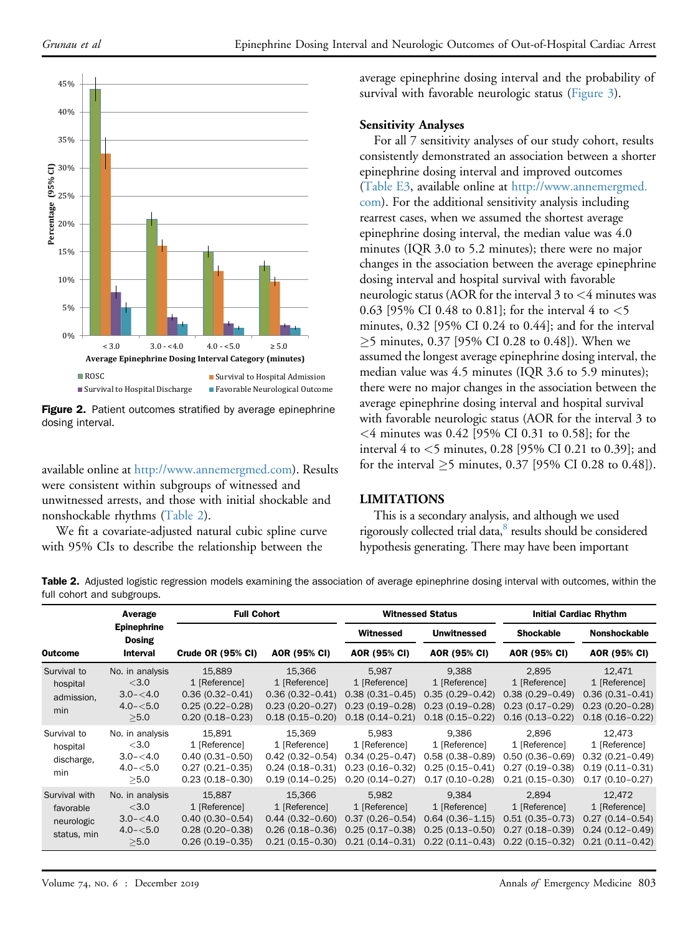<span id="page-6-0"></span>

Figure 2. Patient outcomes stratified by average epinephrine dosing interval.

available online at [http://www.annemergmed.com\)](http://www.annemergmed.com). Results were consistent within subgroups of witnessed and unwitnessed arrests, and those with initial shockable and nonshockable rhythms ([Table 2\)](#page-6-1).

We fit a covariate-adjusted natural cubic spline curve with 95% CIs to describe the relationship between the

average epinephrine dosing interval and the probability of survival with favorable neurologic status ([Figure 3\)](#page-7-0).

#### Sensitivity Analyses

For all 7 sensitivity analyses of our study cohort, results consistently demonstrated an association between a shorter epinephrine dosing interval and improved outcomes (Table E3, available online at [http://www.annemergmed.](http://www.annemergmed.com) [com\)](http://www.annemergmed.com). For the additional sensitivity analysis including rearrest cases, when we assumed the shortest average epinephrine dosing interval, the median value was 4.0 minutes (IQR 3.0 to 5.2 minutes); there were no major changes in the association between the average epinephrine dosing interval and hospital survival with favorable neurologic status (AOR for the interval  $3$  to  $\leq 4$  minutes was 0.63 [95% CI 0.48 to 0.81]; for the interval 4 to  $<$  5 minutes, 0.32 [95% CI 0.24 to 0.44]; and for the interval  $\geq$ 5 minutes, 0.37 [95% CI 0.28 to 0.48]). When we assumed the longest average epinephrine dosing interval, the median value was 4.5 minutes (IQR 3.6 to 5.9 minutes); there were no major changes in the association between the average epinephrine dosing interval and hospital survival with favorable neurologic status (AOR for the interval 3 to <4 minutes was 0.42 [95% CI 0.31 to 0.58]; for the interval 4 to <5 minutes, 0.28 [95% CI 0.21 to 0.39]; and for the interval  $\geq$ 5 minutes, 0.37 [95% CI 0.28 to 0.48]).

#### LIMITATIONS

This is a secondary analysis, and although we used rigorously collected trial data,<sup>8</sup> results should be considered hypothesis generating. There may have been important

<span id="page-6-1"></span>Table 2. Adjusted logistic regression models examining the association of average epinephrine dosing interval with outcomes, within the full cohort and subgroups.

| <b>Outcome</b>                                          | Average                                                          | <b>Full Cohort</b>                                                                           |                                                                                              |                                                                                             | <b>Witnessed Status</b>                                                                     | <b>Initial Cardiac Rhythm</b>                                                             |                                                                                              |  |
|---------------------------------------------------------|------------------------------------------------------------------|----------------------------------------------------------------------------------------------|----------------------------------------------------------------------------------------------|---------------------------------------------------------------------------------------------|---------------------------------------------------------------------------------------------|-------------------------------------------------------------------------------------------|----------------------------------------------------------------------------------------------|--|
|                                                         | <b>Epinephrine</b><br><b>Dosing</b>                              |                                                                                              |                                                                                              | <b>Witnessed</b>                                                                            | <b>Unwitnessed</b>                                                                          | <b>Shockable</b>                                                                          | <b>Nonshockable</b><br>AOR (95% CI)                                                          |  |
|                                                         | Interval                                                         | Crude OR (95% CI)                                                                            | AOR (95% CI)                                                                                 | AOR (95% CI)                                                                                | AOR (95% CI)                                                                                | AOR (95% CI)                                                                              |                                                                                              |  |
| Survival to<br>hospital<br>admission,<br>min            | No. in analysis<br><3.0<br>$3.0 - 4.0$<br>$4.0 - 5.0$<br>>5.0    | 15,889<br>1 [Reference]<br>$0.36(0.32 - 0.41)$<br>$0.25(0.22 - 0.28)$<br>$0.20(0.18 - 0.23)$ | 15,366<br>1 [Reference]<br>$0.36(0.32 - 0.41)$<br>$0.23(0.20 - 0.27)$<br>$0.18(0.15 - 0.20)$ | 5,987<br>1 [Reference]<br>$0.38(0.31 - 0.45)$<br>$0.23(0.19 - 0.28)$<br>$0.18(0.14 - 0.21)$ | 9,388<br>1 [Reference]<br>$0.35(0.29 - 0.42)$<br>$0.23(0.19 - 0.28)$<br>$0.18(0.15 - 0.22)$ | 2,895<br>1 [Reference]<br>$0.38(0.29 - 0.49)$<br>$0.23(0.17-0.29)$<br>$0.16(0.13 - 0.22)$ | 12,471<br>1 [Reference]<br>$0.36(0.31 - 0.41)$<br>$0.23(0.20-0.28)$<br>$0.18(0.16 - 0.22)$   |  |
| Survival to<br>hospital<br>discharge,<br>min            | No. in analysis<br>$<$ 3.0<br>$3.0 - 4.0$<br>$4.0 - 5.0$<br>>5.0 | 15.891<br>1 [Reference]<br>$0.40(0.31 - 0.50)$<br>$0.27(0.21 - 0.35)$<br>$0.23(0.18 - 0.30)$ | 15.369<br>1 [Reference]<br>$0.42(0.32 - 0.54)$<br>$0.24(0.18-0.31)$<br>$0.19(0.14 - 0.25)$   | 5.983<br>1 [Reference]<br>$0.34(0.25 - 0.47)$<br>$0.23(0.16 - 0.32)$<br>$0.20(0.14 - 0.27)$ | 9.386<br>1 [Reference]<br>$0.58(0.38 - 0.89)$<br>$0.25(0.15 - 0.41)$<br>$0.17(0.10 - 0.28)$ | 2.896<br>1 [Reference]<br>$0.50(0.36 - 0.69)$<br>$0.27(0.19-0.38)$<br>$0.21(0.15 - 0.30)$ | 12.473<br>1 [Reference]<br>$0.32(0.21 - 0.49)$<br>$0.19(0.11 - 0.31)$<br>$0.17(0.10 - 0.27)$ |  |
| Survival with<br>favorable<br>neurologic<br>status, min | No. in analysis<br>$<$ 3.0<br>$3.0 - 4.0$<br>$4.0 - 5.0$<br>>5.0 | 15,887<br>1 [Reference]<br>$0.40(0.30 - 0.54)$<br>$0.28(0.20 - 0.38)$<br>$0.26(0.19 - 0.35)$ | 15,366<br>1 [Reference]<br>$0.44(0.32 - 0.60)$<br>$0.26(0.18 - 0.36)$<br>$0.21(0.15 - 0.30)$ | 5,982<br>1 [Reference]<br>$0.37(0.26 - 0.54)$<br>$0.25(0.17-0.38)$<br>$0.21(0.14 - 0.31)$   | 9,384<br>1 [Reference]<br>$0.64(0.36 - 1.15)$<br>$0.25(0.13 - 0.50)$<br>$0.22(0.11 - 0.43)$ | 2,894<br>1 [Reference]<br>$0.51(0.35 - 0.73)$<br>$0.27(0.18-0.39)$<br>$0.22(0.15 - 0.32)$ | 12,472<br>1 [Reference]<br>$0.27(0.14 - 0.54)$<br>$0.24(0.12 - 0.49)$<br>$0.21(0.11 - 0.42)$ |  |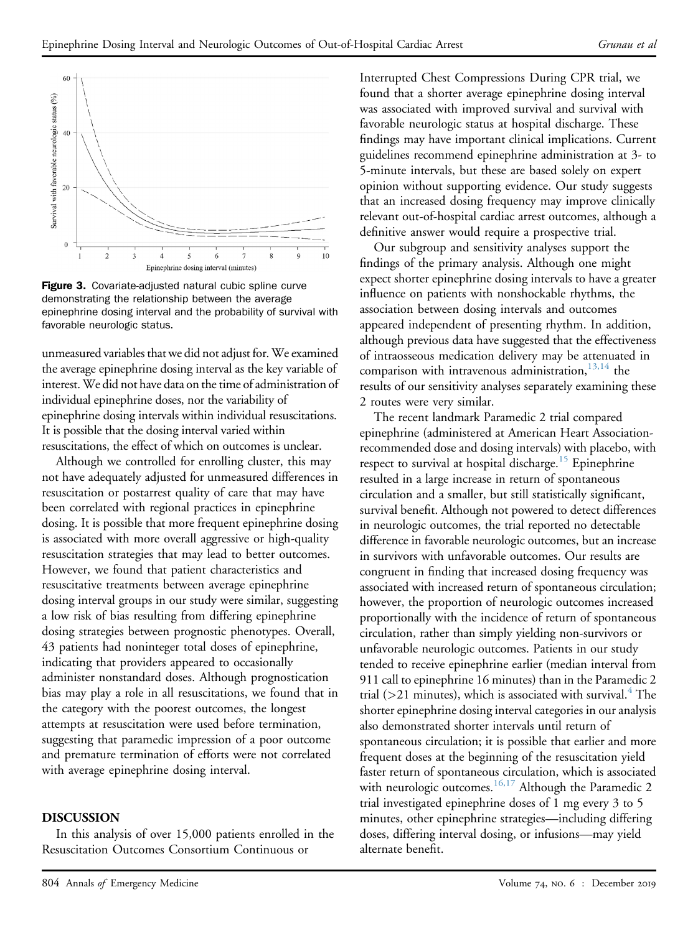<span id="page-7-0"></span>

Figure 3. Covariate-adjusted natural cubic spline curve demonstrating the relationship between the average epinephrine dosing interval and the probability of survival with favorable neurologic status.

unmeasured variables that we did not adjust for. We examined the average epinephrine dosing interval as the key variable of interest. We did not have data on the time of administration of individual epinephrine doses, nor the variability of epinephrine dosing intervals within individual resuscitations. It is possible that the dosing interval varied within resuscitations, the effect of which on outcomes is unclear.

Although we controlled for enrolling cluster, this may not have adequately adjusted for unmeasured differences in resuscitation or postarrest quality of care that may have been correlated with regional practices in epinephrine dosing. It is possible that more frequent epinephrine dosing is associated with more overall aggressive or high-quality resuscitation strategies that may lead to better outcomes. However, we found that patient characteristics and resuscitative treatments between average epinephrine dosing interval groups in our study were similar, suggesting a low risk of bias resulting from differing epinephrine dosing strategies between prognostic phenotypes. Overall, 43 patients had noninteger total doses of epinephrine, indicating that providers appeared to occasionally administer nonstandard doses. Although prognostication bias may play a role in all resuscitations, we found that in the category with the poorest outcomes, the longest attempts at resuscitation were used before termination, suggesting that paramedic impression of a poor outcome and premature termination of efforts were not correlated with average epinephrine dosing interval.

#### DISCUSSION

In this analysis of over 15,000 patients enrolled in the Resuscitation Outcomes Consortium Continuous or

Interrupted Chest Compressions During CPR trial, we found that a shorter average epinephrine dosing interval was associated with improved survival and survival with favorable neurologic status at hospital discharge. These findings may have important clinical implications. Current guidelines recommend epinephrine administration at 3- to 5-minute intervals, but these are based solely on expert opinion without supporting evidence. Our study suggests that an increased dosing frequency may improve clinically relevant out-of-hospital cardiac arrest outcomes, although a definitive answer would require a prospective trial.

Our subgroup and sensitivity analyses support the findings of the primary analysis. Although one might expect shorter epinephrine dosing intervals to have a greater influence on patients with nonshockable rhythms, the association between dosing intervals and outcomes appeared independent of presenting rhythm. In addition, although previous data have suggested that the effectiveness of intraosseous medication delivery may be attenuated in comparison with intravenous administration, $13,14$  the results of our sensitivity analyses separately examining these 2 routes were very similar.

The recent landmark Paramedic 2 trial compared epinephrine (administered at American Heart Associationrecommended dose and dosing intervals) with placebo, with respect to survival at hospital discharge.<sup>[15](#page-9-1)</sup> Epinephrine resulted in a large increase in return of spontaneous circulation and a smaller, but still statistically significant, survival benefit. Although not powered to detect differences in neurologic outcomes, the trial reported no detectable difference in favorable neurologic outcomes, but an increase in survivors with unfavorable outcomes. Our results are congruent in finding that increased dosing frequency was associated with increased return of spontaneous circulation; however, the proportion of neurologic outcomes increased proportionally with the incidence of return of spontaneous circulation, rather than simply yielding non-survivors or unfavorable neurologic outcomes. Patients in our study tended to receive epinephrine earlier (median interval from 911 call to epinephrine 16 minutes) than in the Paramedic 2 trial ( $>$ 21 minutes), which is associated with survival.<sup>4</sup> The shorter epinephrine dosing interval categories in our analysis also demonstrated shorter intervals until return of spontaneous circulation; it is possible that earlier and more frequent doses at the beginning of the resuscitation yield faster return of spontaneous circulation, which is associated with neurologic outcomes.<sup>[16,17](#page-9-2)</sup> Although the Paramedic 2 trial investigated epinephrine doses of 1 mg every 3 to 5 minutes, other epinephrine strategies—including differing doses, differing interval dosing, or infusions—may yield alternate benefit.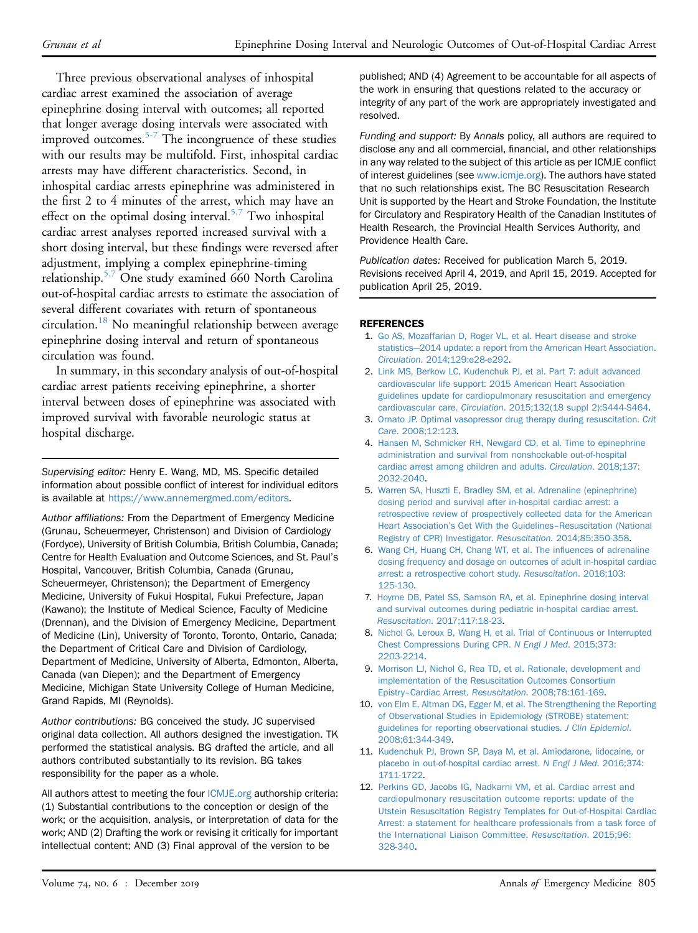Three previous observational analyses of inhospital cardiac arrest examined the association of average epinephrine dosing interval with outcomes; all reported that longer average dosing intervals were associated with improved outcomes.[5-7](#page-8-4) The incongruence of these studies with our results may be multifold. First, inhospital cardiac arrests may have different characteristics. Second, in inhospital cardiac arrests epinephrine was administered in the first 2 to 4 minutes of the arrest, which may have an effect on the optimal dosing interval.<sup>5,7</sup> Two inhospital cardiac arrest analyses reported increased survival with a short dosing interval, but these findings were reversed after adjustment, implying a complex epinephrine-timing relationship.<sup>[5,7](#page-8-4)</sup> One study examined 660 North Carolina out-of-hospital cardiac arrests to estimate the association of several different covariates with return of spontaneous circulation.<sup>18</sup> No meaningful relationship between average epinephrine dosing interval and return of spontaneous circulation was found.

In summary, in this secondary analysis of out-of-hospital cardiac arrest patients receiving epinephrine, a shorter interval between doses of epinephrine was associated with improved survival with favorable neurologic status at hospital discharge.

Supervising editor: Henry E. Wang, MD, MS. Specific detailed information about possible conflict of interest for individual editors is available at <https://www.annemergmed.com/editors>.

Author affiliations: From the Department of Emergency Medicine (Grunau, Scheuermeyer, Christenson) and Division of Cardiology (Fordyce), University of British Columbia, British Columbia, Canada; Centre for Health Evaluation and Outcome Sciences, and St. Paul's Hospital, Vancouver, British Columbia, Canada (Grunau, Scheuermeyer, Christenson); the Department of Emergency Medicine, University of Fukui Hospital, Fukui Prefecture, Japan (Kawano); the Institute of Medical Science, Faculty of Medicine (Drennan), and the Division of Emergency Medicine, Department of Medicine (Lin), University of Toronto, Toronto, Ontario, Canada; the Department of Critical Care and Division of Cardiology, Department of Medicine, University of Alberta, Edmonton, Alberta, Canada (van Diepen); and the Department of Emergency Medicine, Michigan State University College of Human Medicine, Grand Rapids, MI (Reynolds).

Author contributions: BG conceived the study. JC supervised original data collection. All authors designed the investigation. TK performed the statistical analysis. BG drafted the article, and all authors contributed substantially to its revision. BG takes responsibility for the paper as a whole.

All authors attest to meeting the four [ICMJE.org](http://ICMJE.org) authorship criteria: (1) Substantial contributions to the conception or design of the work; or the acquisition, analysis, or interpretation of data for the work; AND (2) Drafting the work or revising it critically for important intellectual content; AND (3) Final approval of the version to be

published; AND (4) Agreement to be accountable for all aspects of the work in ensuring that questions related to the accuracy or integrity of any part of the work are appropriately investigated and resolved.

Funding and support: By Annals policy, all authors are required to disclose any and all commercial, financial, and other relationships in any way related to the subject of this article as per ICMJE conflict of interest guidelines (see [www.icmje.org](http://www.icmje.org)). The authors have stated that no such relationships exist. The BC Resuscitation Research Unit is supported by the Heart and Stroke Foundation, the Institute for Circulatory and Respiratory Health of the Canadian Institutes of Health Research, the Provincial Health Services Authority, and Providence Health Care.

Publication dates: Received for publication March 5, 2019. Revisions received April 4, 2019, and April 15, 2019. Accepted for publication April 25, 2019.

#### <span id="page-8-0"></span>REFERENCES

- 1. [Go AS, Mozaffarian D, Roger VL, et al. Heart disease and stroke](http://refhub.elsevier.com/S0196-0644(19)30354-3/sref1) [statistics](http://refhub.elsevier.com/S0196-0644(19)30354-3/sref1)—[2014 update: a report from the American Heart Association.](http://refhub.elsevier.com/S0196-0644(19)30354-3/sref1) Circulation[. 2014;129:e28-e292](http://refhub.elsevier.com/S0196-0644(19)30354-3/sref1).
- <span id="page-8-1"></span>2. [Link MS, Berkow LC, Kudenchuk PJ, et al. Part 7: adult advanced](http://refhub.elsevier.com/S0196-0644(19)30354-3/sref2) [cardiovascular life support: 2015 American Heart Association](http://refhub.elsevier.com/S0196-0644(19)30354-3/sref2) [guidelines update for cardiopulmonary resuscitation and emergency](http://refhub.elsevier.com/S0196-0644(19)30354-3/sref2) cardiovascular care. Circulation[. 2015;132\(18 suppl 2\):S444-S464.](http://refhub.elsevier.com/S0196-0644(19)30354-3/sref2)
- <span id="page-8-2"></span>3. [Ornato JP. Optimal vasopressor drug therapy during resuscitation.](http://refhub.elsevier.com/S0196-0644(19)30354-3/sref3) Crit Care[. 2008;12:123.](http://refhub.elsevier.com/S0196-0644(19)30354-3/sref3)
- <span id="page-8-3"></span>4. [Hansen M, Schmicker RH, Newgard CD, et al. Time to epinephrine](http://refhub.elsevier.com/S0196-0644(19)30354-3/sref4) [administration and survival from nonshockable out-of-hospital](http://refhub.elsevier.com/S0196-0644(19)30354-3/sref4) [cardiac arrest among children and adults.](http://refhub.elsevier.com/S0196-0644(19)30354-3/sref4) Circulation. 2018;137: [2032-2040](http://refhub.elsevier.com/S0196-0644(19)30354-3/sref4).
- <span id="page-8-4"></span>5. [Warren SA, Huszti E, Bradley SM, et al. Adrenaline \(epinephrine\)](http://refhub.elsevier.com/S0196-0644(19)30354-3/sref5) [dosing period and survival after in-hospital cardiac arrest: a](http://refhub.elsevier.com/S0196-0644(19)30354-3/sref5) [retrospective review of prospectively collected data for the American](http://refhub.elsevier.com/S0196-0644(19)30354-3/sref5) Heart Association'[s Get With the Guidelines](http://refhub.elsevier.com/S0196-0644(19)30354-3/sref5)–[Resuscitation \(National](http://refhub.elsevier.com/S0196-0644(19)30354-3/sref5) [Registry of CPR\) Investigator.](http://refhub.elsevier.com/S0196-0644(19)30354-3/sref5) Resuscitation. 2014;85:350-358.
- 6. [Wang CH, Huang CH, Chang WT, et al. The in](http://refhub.elsevier.com/S0196-0644(19)30354-3/sref6)fluences of adrenaline [dosing frequency and dosage on outcomes of adult in-hospital cardiac](http://refhub.elsevier.com/S0196-0644(19)30354-3/sref6) [arrest: a retrospective cohort study.](http://refhub.elsevier.com/S0196-0644(19)30354-3/sref6) Resuscitation. 2016;103: [125-130.](http://refhub.elsevier.com/S0196-0644(19)30354-3/sref6)
- 7. [Hoyme DB, Patel SS, Samson RA, et al. Epinephrine dosing interval](http://refhub.elsevier.com/S0196-0644(19)30354-3/sref7) [and survival outcomes during pediatric in-hospital cardiac arrest.](http://refhub.elsevier.com/S0196-0644(19)30354-3/sref7) Resuscitation[. 2017;117:18-23](http://refhub.elsevier.com/S0196-0644(19)30354-3/sref7).
- <span id="page-8-5"></span>8. [Nichol G, Leroux B, Wang H, et al. Trial of Continuous or Interrupted](http://refhub.elsevier.com/S0196-0644(19)30354-3/sref8) [Chest Compressions During CPR.](http://refhub.elsevier.com/S0196-0644(19)30354-3/sref8) N Engl J Med. 2015;373: [2203-2214.](http://refhub.elsevier.com/S0196-0644(19)30354-3/sref8)
- 9. [Morrison LJ, Nichol G, Rea TD, et al. Rationale, development and](http://refhub.elsevier.com/S0196-0644(19)30354-3/sref9) [implementation of the Resuscitation Outcomes Consortium](http://refhub.elsevier.com/S0196-0644(19)30354-3/sref9) [Epistry](http://refhub.elsevier.com/S0196-0644(19)30354-3/sref9)–Cardiac Arrest. Resuscitation[. 2008;78:161-169](http://refhub.elsevier.com/S0196-0644(19)30354-3/sref9).
- <span id="page-8-6"></span>10. [von Elm E, Altman DG, Egger M, et al. The Strengthening the Reporting](http://refhub.elsevier.com/S0196-0644(19)30354-3/sref10) [of Observational Studies in Epidemiology \(STROBE\) statement:](http://refhub.elsevier.com/S0196-0644(19)30354-3/sref10) [guidelines for reporting observational studies.](http://refhub.elsevier.com/S0196-0644(19)30354-3/sref10) J Clin Epidemiol. [2008;61:344-349](http://refhub.elsevier.com/S0196-0644(19)30354-3/sref10).
- <span id="page-8-7"></span>11. [Kudenchuk PJ, Brown SP, Daya M, et al. Amiodarone, lidocaine, or](http://refhub.elsevier.com/S0196-0644(19)30354-3/sref11) [placebo in out-of-hospital cardiac arrest.](http://refhub.elsevier.com/S0196-0644(19)30354-3/sref11) N Engl J Med. 2016;374: [1711-1722.](http://refhub.elsevier.com/S0196-0644(19)30354-3/sref11)
- <span id="page-8-8"></span>12. [Perkins GD, Jacobs IG, Nadkarni VM, et al. Cardiac arrest and](http://refhub.elsevier.com/S0196-0644(19)30354-3/sref12) [cardiopulmonary resuscitation outcome reports: update of the](http://refhub.elsevier.com/S0196-0644(19)30354-3/sref12) [Utstein Resuscitation Registry Templates for Out-of-Hospital Cardiac](http://refhub.elsevier.com/S0196-0644(19)30354-3/sref12) [Arrest: a statement for healthcare professionals from a task force of](http://refhub.elsevier.com/S0196-0644(19)30354-3/sref12) [the International Liaison Committee.](http://refhub.elsevier.com/S0196-0644(19)30354-3/sref12) Resuscitation. 2015;96: [328-340.](http://refhub.elsevier.com/S0196-0644(19)30354-3/sref12)